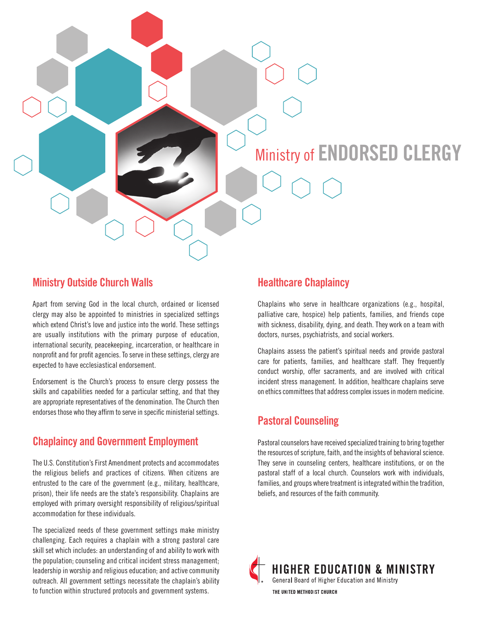# Ministry of **ENDORSED CLERGY**

#### **Ministry Outside Church Walls**

Apart from serving God in the local church, ordained or licensed clergy may also be appointed to ministries in specialized settings which extend Christ's love and justice into the world. These settings are usually institutions with the primary purpose of education, international security, peacekeeping, incarceration, or healthcare in nonprofit and for profit agencies. To serve in these settings, clergy are expected to have ecclesiastical endorsement.

Endorsement is the Church's process to ensure clergy possess the skills and capabilities needed for a particular setting, and that they are appropriate representatives of the denomination. The Church then endorses those who they affirm to serve in specific ministerial settings.

## **Chaplaincy and Government Employment**

The U.S. Constitution's First Amendment protects and accommodates the religious beliefs and practices of citizens. When citizens are entrusted to the care of the government (e.g., military, healthcare, prison), their life needs are the state's responsibility. Chaplains are employed with primary oversight responsibility of religious/spiritual accommodation for these individuals.

The specialized needs of these government settings make ministry challenging. Each requires a chaplain with a strong pastoral care skill set which includes: an understanding of and ability to work with the population; counseling and critical incident stress management; leadership in worship and religious education; and active community outreach. All government settings necessitate the chaplain's ability to function within structured protocols and government systems.

#### **Healthcare Chaplaincy**

Chaplains who serve in healthcare organizations (e.g., hospital, palliative care, hospice) help patients, families, and friends cope with sickness, disability, dying, and death. They work on a team with doctors, nurses, psychiatrists, and social workers.

Chaplains assess the patient's spiritual needs and provide pastoral care for patients, families, and healthcare staff. They frequently conduct worship, offer sacraments, and are involved with critical incident stress management. In addition, healthcare chaplains serve on ethics committees that address complex issues in modern medicine.

#### **Pastoral Counseling**

Pastoral counselors have received specialized training to bring together the resources of scripture, faith, and the insights of behavioral science. They serve in counseling centers, healthcare institutions, or on the pastoral staff of a local church. Counselors work with individuals, families, and groups where treatment is integrated within the tradition, beliefs, and resources of the faith community.